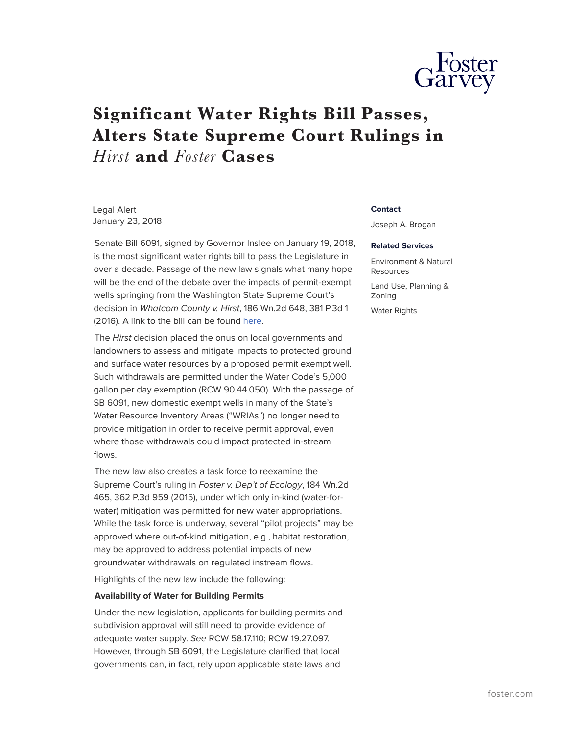

# **Significant Water Rights Bill Passes, Alters State Supreme Court Rulings in** *Hirst* **and** *Foster* **Cases**

Legal Alert January 23, 2018

Senate Bill 6091, signed by Governor Inslee on January 19, 2018, is the most significant water rights bill to pass the Legislature in over a decade. Passage of the new law signals what many hope will be the end of the debate over the impacts of permit-exempt wells springing from the Washington State Supreme Court's decision in *Whatcom County v. Hirst*, 186 Wn.2d 648, 381 P.3d 1 (2016). A link to the bill can be found [here](http://lawfilesext.leg.wa.gov/biennium/2017-18/Pdf/Amendments/Senate/6091-S%20AMS%20VAND%20S4056.3.pdf).

The *Hirst* decision placed the onus on local governments and landowners to assess and mitigate impacts to protected ground and surface water resources by a proposed permit exempt well. Such withdrawals are permitted under the Water Code's 5,000 gallon per day exemption (RCW 90.44.050). With the passage of SB 6091, new domestic exempt wells in many of the State's Water Resource Inventory Areas ("WRIAs") no longer need to provide mitigation in order to receive permit approval, even where those withdrawals could impact protected in-stream flows.

The new law also creates a task force to reexamine the Supreme Court's ruling in *Foster v. Dep't of Ecology*, 184 Wn.2d 465, 362 P.3d 959 (2015), under which only in-kind (water-forwater) mitigation was permitted for new water appropriations. While the task force is underway, several "pilot projects" may be approved where out-of-kind mitigation, e.g., habitat restoration, may be approved to address potential impacts of new groundwater withdrawals on regulated instream flows.

Highlights of the new law include the following:

### **Availability of Water for Building Permits**

Under the new legislation, applicants for building permits and subdivision approval will still need to provide evidence of adequate water supply. *See* RCW 58.17.110; RCW 19.27.097. However, through SB 6091, the Legislature clarified that local governments can, in fact, rely upon applicable state laws and

#### **Contact**

Joseph A. Brogan

#### **Related Services**

Environment & Natural Resources Land Use, Planning & Zoning Water Rights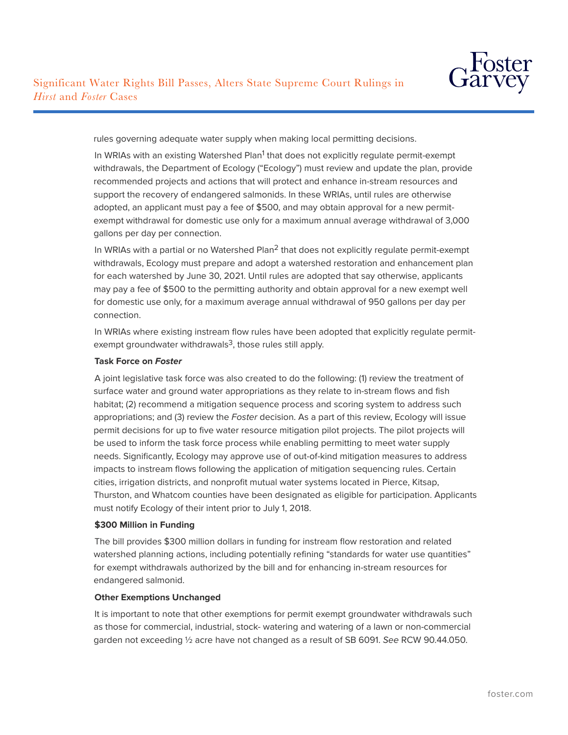

rules governing adequate water supply when making local permitting decisions.

In WRIAs with an existing Watershed Plan<sup>1</sup> that does not explicitly regulate permit-exempt withdrawals, the Department of Ecology ("Ecology") must review and update the plan, provide recommended projects and actions that will protect and enhance in-stream resources and support the recovery of endangered salmonids. In these WRIAs, until rules are otherwise adopted, an applicant must pay a fee of \$500, and may obtain approval for a new permitexempt withdrawal for domestic use only for a maximum annual average withdrawal of 3,000 gallons per day per connection.

In WRIAs with a partial or no Watershed Plan<sup>2</sup> that does not explicitly regulate permit-exempt withdrawals, Ecology must prepare and adopt a watershed restoration and enhancement plan for each watershed by June 30, 2021. Until rules are adopted that say otherwise, applicants may pay a fee of \$500 to the permitting authority and obtain approval for a new exempt well for domestic use only, for a maximum average annual withdrawal of 950 gallons per day per connection.

In WRIAs where existing instream flow rules have been adopted that explicitly regulate permitexempt groundwater withdrawals<sup>3</sup>, those rules still apply.

# **Task Force on** *Foster*

A joint legislative task force was also created to do the following: (1) review the treatment of surface water and ground water appropriations as they relate to in-stream flows and fish habitat; (2) recommend a mitigation sequence process and scoring system to address such appropriations; and (3) review the *Foster* decision. As a part of this review, Ecology will issue permit decisions for up to five water resource mitigation pilot projects. The pilot projects will be used to inform the task force process while enabling permitting to meet water supply needs. Significantly, Ecology may approve use of out-of-kind mitigation measures to address impacts to instream flows following the application of mitigation sequencing rules. Certain cities, irrigation districts, and nonprofit mutual water systems located in Pierce, Kitsap, Thurston, and Whatcom counties have been designated as eligible for participation. Applicants must notify Ecology of their intent prior to July 1, 2018.

# **\$300 Million in Funding**

The bill provides \$300 million dollars in funding for instream flow restoration and related watershed planning actions, including potentially refining "standards for water use quantities" for exempt withdrawals authorized by the bill and for enhancing in-stream resources for endangered salmonid.

# **Other Exemptions Unchanged**

It is important to note that other exemptions for permit exempt groundwater withdrawals such as those for commercial, industrial, stock- watering and watering of a lawn or non-commercial garden not exceeding ½ acre have not changed as a result of SB 6091. *See* RCW 90.44.050.